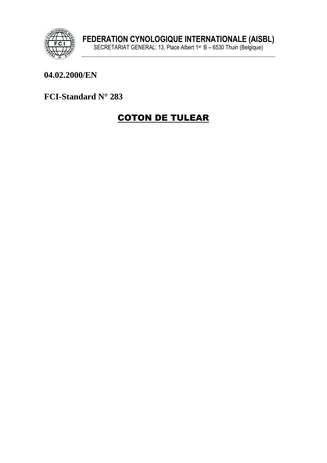

#### 04.02.2000/EN

#### FCI-Standard N° 283

# **COTON DE TULEAR**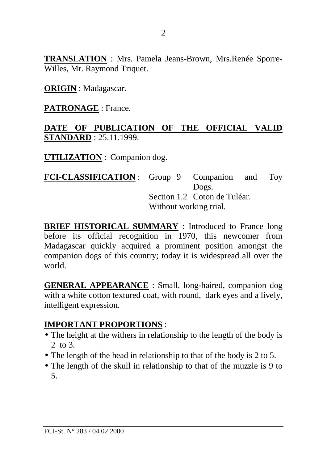**TRANSLATION** : Mrs. Pamela Jeans-Brown, Mrs.Renée Sporre-Willes, Mr. Raymond Triquet.

**ORIGIN** : Madagascar.

**PATRONAGE** : France.

#### **DATE OF PUBLICATION OF THE OFFICIAL VALID STANDARD** : 25.11.1999.

**UTILIZATION** : Companion dog.

**FCI-CLASSIFICATION** : Group 9 Companion and Toy Dogs. Section 1.2 Coton de Tuléar. Without working trial.

**BRIEF HISTORICAL SUMMARY** : Introduced to France long before its official recognition in 1970, this newcomer from Madagascar quickly acquired a prominent position amongst the companion dogs of this country; today it is widespread all over the world.

**GENERAL APPEARANCE** : Small, long-haired, companion dog with a white cotton textured coat, with round, dark eyes and a lively, intelligent expression.

## **IMPORTANT PROPORTIONS** :

- The height at the withers in relationship to the length of the body is 2 to 3.
- The length of the head in relationship to that of the body is 2 to 5.
- The length of the skull in relationship to that of the muzzle is 9 to 5.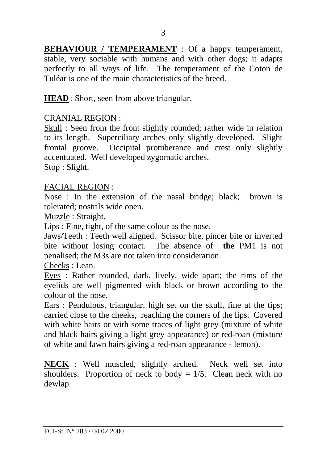**BEHAVIOUR / TEMPERAMENT** : Of a happy temperament, stable, very sociable with humans and with other dogs; it adapts perfectly to all ways of life. The temperament of the Coton de Tuléar is one of the main characteristics of the breed.

**HEAD** : Short, seen from above triangular.

#### CRANIAL REGION :

Skull : Seen from the front slightly rounded; rather wide in relation to its length. Superciliary arches only slightly developed. Slight frontal groove. Occipital protuberance and crest only slightly accentuated. Well developed zygomatic arches.

Stop : Slight.

#### FACIAL REGION :

Nose : In the extension of the nasal bridge; black; brown is tolerated; nostrils wide open.

Muzzle : Straight.

Lips : Fine, tight, of the same colour as the nose.

Jaws/Teeth : Teeth well aligned. Scissor bite, pincer bite or inverted bite without losing contact. The absence of **the** PM1 is not penalised; the M3s are not taken into consideration.

Cheeks : Lean.

Eyes : Rather rounded, dark, lively, wide apart; the rims of the eyelids are well pigmented with black or brown according to the colour of the nose.

Ears : Pendulous, triangular, high set on the skull, fine at the tips; carried close to the cheeks, reaching the corners of the lips. Covered with white hairs or with some traces of light grey (mixture of white and black hairs giving a light grey appearance) or red-roan (mixture of white and fawn hairs giving a red-roan appearance - lemon).

**NECK** : Well muscled, slightly arched. Neck well set into shoulders. Proportion of neck to body  $= 1/5$ . Clean neck with no dewlap.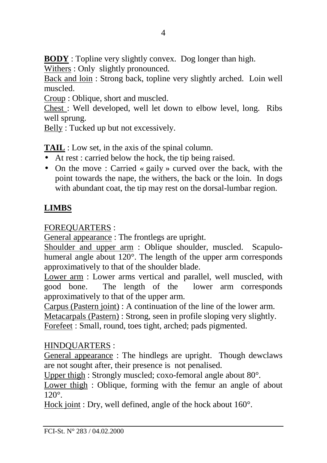**BODY** : Topline very slightly convex. Dog longer than high.

Withers : Only slightly pronounced.

Back and loin : Strong back, topline very slightly arched. Loin well muscled.

Croup : Oblique, short and muscled.

Chest : Well developed, well let down to elbow level, long. Ribs well sprung.

Belly : Tucked up but not excessively.

**TAIL** : Low set, in the axis of the spinal column.

- At rest : carried below the hock, the tip being raised.
- On the move: Carried « gaily » curved over the back, with the point towards the nape, the withers, the back or the loin. In dogs with abundant coat, the tip may rest on the dorsal-lumbar region.

# **LIMBS**

FOREQUARTERS :

General appearance : The frontlegs are upright.

Shoulder and upper arm : Oblique shoulder, muscled. Scapulohumeral angle about 120°. The length of the upper arm corresponds approximatively to that of the shoulder blade.

Lower arm : Lower arms vertical and parallel, well muscled, with good bone. The length of the lower arm corresponds approximatively to that of the upper arm.

Carpus (Pastern joint) : A continuation of the line of the lower arm.

Metacarpals (Pastern) : Strong, seen in profile sloping very slightly.

Forefeet : Small, round, toes tight, arched; pads pigmented.

## HINDQUARTERS :

General appearance : The hindlegs are upright. Though dewclaws are not sought after, their presence is not penalised.

Upper thigh : Strongly muscled; coxo-femoral angle about 80°.

Lower thigh : Oblique, forming with the femur an angle of about 120°.

Hock joint : Dry, well defined, angle of the hock about 160°.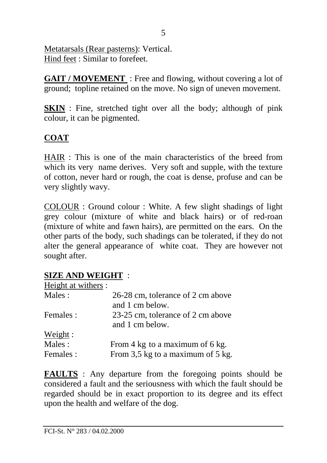Metatarsals (Rear pasterns): Vertical. Hind feet : Similar to forefeet.

**GAIT / MOVEMENT** : Free and flowing, without covering a lot of ground; topline retained on the move. No sign of uneven movement.

**SKIN** : Fine, stretched tight over all the body; although of pink colour, it can be pigmented.

## **COAT**

HAIR : This is one of the main characteristics of the breed from which its very name derives. Very soft and supple, with the texture of cotton, never hard or rough, the coat is dense, profuse and can be very slightly wavy.

COLOUR : Ground colour : White. A few slight shadings of light grey colour (mixture of white and black hairs) or of red-roan (mixture of white and fawn hairs), are permitted on the ears. On the other parts of the body, such shadings can be tolerated, if they do not alter the general appearance of white coat. They are however not sought after.

## **SIZE AND WEIGHT** :

| Height at withers : |                                   |
|---------------------|-----------------------------------|
| Males:              | 26-28 cm, tolerance of 2 cm above |
|                     | and 1 cm below.                   |
| Females :           | 23-25 cm, tolerance of 2 cm above |
|                     | and 1 cm below.                   |
| Weight:             |                                   |
| Males:              | From 4 kg to a maximum of 6 kg.   |
| Females:            | From 3,5 kg to a maximum of 5 kg. |

**FAULTS** : Any departure from the foregoing points should be considered a fault and the seriousness with which the fault should be regarded should be in exact proportion to its degree and its effect upon the health and welfare of the dog.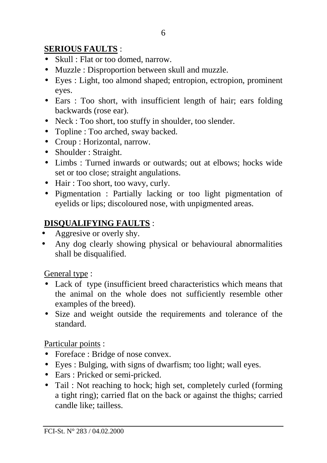## **SERIOUS FAULTS** :

- Skull : Flat or too domed, narrow.
- Muzzle : Disproportion between skull and muzzle.
- Eyes : Light, too almond shaped; entropion, ectropion, prominent eyes.
- Ears : Too short, with insufficient length of hair; ears folding backwards (rose ear).
- Neck : Too short, too stuffy in shoulder, too slender.
- Topline : Too arched, sway backed.
- Croup : Horizontal, narrow.
- Shoulder : Straight.
- Limbs : Turned inwards or outwards; out at elbows; hocks wide set or too close; straight angulations.
- Hair : Too short, too wavy, curly.
- Pigmentation : Partially lacking or too light pigmentation of eyelids or lips; discoloured nose, with unpigmented areas.

# **DISQUALIFYING FAULTS** :

- Aggresive or overly shy.
- Any dog clearly showing physical or behavioural abnormalities shall be disqualified.

General type :

- Lack of type (insufficient breed characteristics which means that the animal on the whole does not sufficiently resemble other examples of the breed).
- Size and weight outside the requirements and tolerance of the standard.

Particular points :

- Foreface : Bridge of nose convex.
- Eyes : Bulging, with signs of dwarfism; too light; wall eyes.
- Ears : Pricked or semi-pricked.
- Tail: Not reaching to hock; high set, completely curled (forming a tight ring); carried flat on the back or against the thighs; carried candle like; tailless.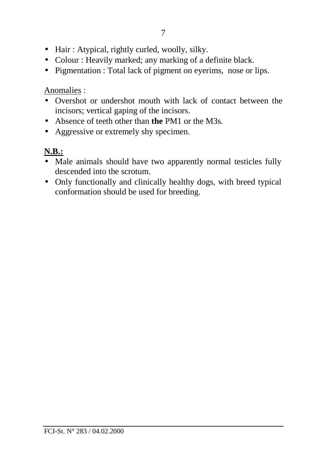- Hair: Atypical, rightly curled, woolly, silky.
- Colour : Heavily marked; any marking of a definite black.
- Pigmentation : Total lack of pigment on eyerims, nose or lips.

Anomalies :

- Overshot or undershot mouth with lack of contact between the incisors; vertical gaping of the incisors.
- Absence of teeth other than **the** PM1 or the M3s.
- Aggressive or extremely shy specimen.

# **N.B.:**

- Male animals should have two apparently normal testicles fully descended into the scrotum.
- Only functionally and clinically healthy dogs, with breed typical conformation should be used for breeding.